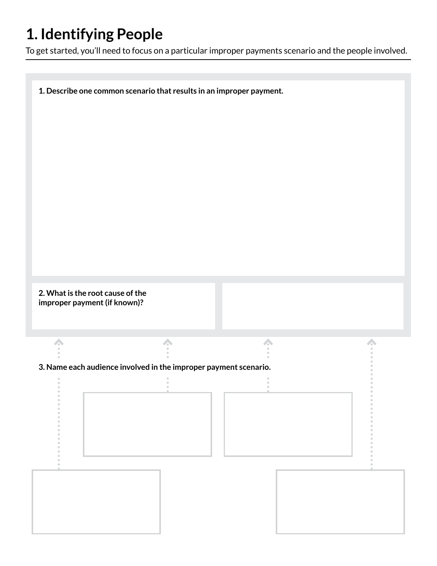## **1. Identifying People**

To get started, you'll need to focus on a particular improper payments scenario and the people involved.

**1. Describe one common scenario that results in an improper payment. 2. What is the root cause of the improper payment (if known)?**  $\triangle$ 人  $\frac{1}{\alpha}$  $\bar{\phantom{a}}$ **3. Name each audience involved in the improper payment scenario.**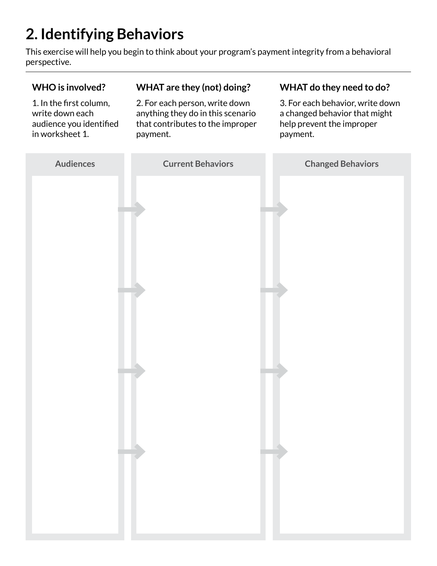# **2. Identifying Behaviors**

This exercise will help you begin to think about your program's payment integrity from a behavioral perspective.

#### **WHO is involved?** 1. In the first column, write down each audience you identified in worksheet 1. **WHAT are they (not) doing?** 2. For each person, write down anything they do in this scenario that contributes to the improper payment.

#### **WHAT do they need to do?**

3. For each behavior, write down a changed behavior that might help prevent the improper payment.

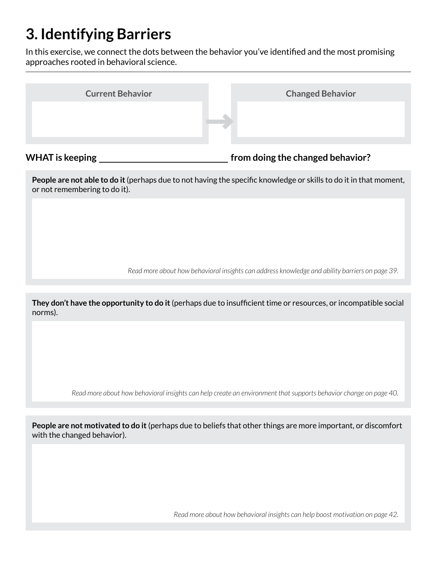## **3. Identifying Barriers**

In this exercise, we connect the dots between the behavior you've identified and the most promising approaches rooted in behavioral science.

| <b>Current Behavior</b> | <b>Changed Behavior</b> |
|-------------------------|-------------------------|
|                         |                         |
|                         |                         |

WHAT is keeping *WHAT* is keeping

**People are not able to do it** (perhaps due to not having the specific knowledge or skills to do it in that moment, or not remembering to do it).

*Read more about how behavioral insights can address knowledge and ability barriers on page 39.*

**They don't have the opportunity to do it** (perhaps due to insufficient time or resources, or incompatible social norms).

*Read more about how behavioral insights can help create an environment that supports behavior change on page 40.*

**People are not motivated to do it** (perhaps due to beliefs that other things are more important, or discomfort with the changed behavior).

*Read more about how behavioral insights can help boost motivation on page 42.*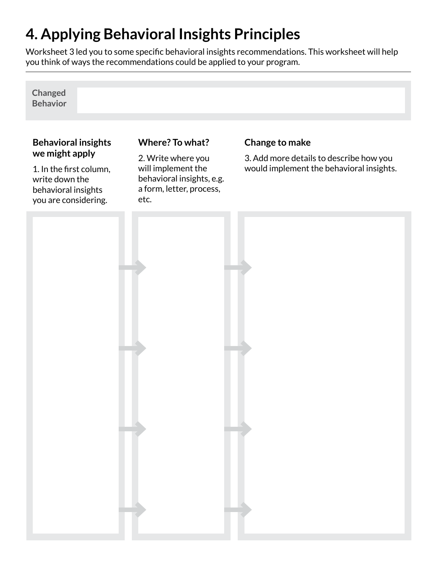# **4. Applying Behavioral Insights Principles**

Worksheet 3 led you to some specific behavioral insights recommendations. This worksheet will help you think of ways the recommendations could be applied to your program.

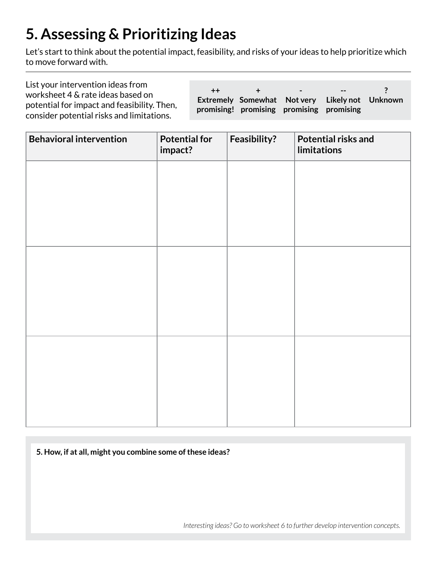# **5. Assessing & Prioritizing Ideas**

Let's start to think about the potential impact, feasibility, and risks of your ideas to help prioritize which to move forward with.

| List your intervention ideas from<br>worksheet 4 & rate ideas based on<br>potential for impact and feasibility. Then,<br>consider potential risks and limitations. | $++$ | $\sim$ $ \sim$<br>promising! promising promising promising | $-  \sim$<br>Extremely Somewhat Notvery Likelynot Unknown |  |
|--------------------------------------------------------------------------------------------------------------------------------------------------------------------|------|------------------------------------------------------------|-----------------------------------------------------------|--|
|                                                                                                                                                                    |      |                                                            |                                                           |  |

| <b>Behavioral intervention</b> | <b>Potential for</b><br>impact? | Feasibility? | Potential risks and<br>limitations |
|--------------------------------|---------------------------------|--------------|------------------------------------|
|                                |                                 |              |                                    |
|                                |                                 |              |                                    |
|                                |                                 |              |                                    |
|                                |                                 |              |                                    |
|                                |                                 |              |                                    |
|                                |                                 |              |                                    |
|                                |                                 |              |                                    |
|                                |                                 |              |                                    |
|                                |                                 |              |                                    |

**5. How, if at all, might you combine some of these ideas?**

*Interesting ideas? Go to worksheet 6 to further develop intervention concepts.*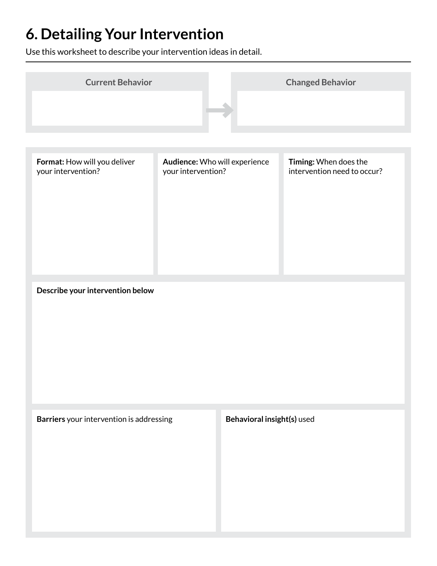# **6. Detailing Your Intervention**

Use this worksheet to describe your intervention ideas in detail.

| <b>Current Behavior</b>                            |                                                     | <b>Changed Behavior</b>                              |
|----------------------------------------------------|-----------------------------------------------------|------------------------------------------------------|
|                                                    |                                                     |                                                      |
|                                                    |                                                     |                                                      |
| Format: How will you deliver<br>your intervention? | Audience: Who will experience<br>your intervention? | Timing: When does the<br>intervention need to occur? |
| Describe your intervention below                   |                                                     |                                                      |
| Barriers your intervention is addressing           |                                                     | Behavioral insight(s) used                           |